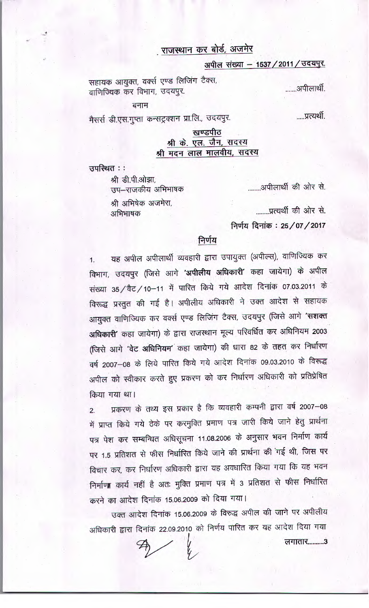# . राजस्थान कर बोर्ड, अजमेर

## अपील संख्या - 1537 / 2011 / उदयपुर.

सहायक आयुक्त, वर्क्स एण्ड लिजिंग टैक्स, ......अपीलार्थी. वाणिज्यिक कर विभाग, उदयपुर.

बनाम

मैसर्स डी.एस.गुप्ता कन्सट्रक्शन प्रा.लि., उदयपुर.

.....प्रत्यर्थी.

#### खण्डपीठ श्री के. एल. जैन, सदस्य श्री मदन लाल मालवीय, सदस्य

उपस्थित ::

श्री डी.पी.ओझा, उप–राजकीय अभिभाषक

श्री अभिषेक अजमेरा, अभिभाषक

........प्रत्यर्थी की ओर से.

लगातार...........3

........अपीलार्थी की ओर से.

निर्णय दिनांक: 25/07/2017

## निर्णय

यह अपील अपीलार्थी व्यवहारी द्वारा उपायुक्त (अपील्स), वाणिज्यिक कर विभाग, उदयपुर (जिसे आगे 'अपीलीय अधिकारी' कहा जायेगा) के अपील संख्या 35 / वैट / 10-11 में पारित किये गये आदेश दिनांक 07.03.2011 के विरूद्ध प्रस्तुत की गई है। अपीलीय अधिकारी ने उक्त आदेश से सहायक आयुक्त वाणिज्यिक कर वर्क्स एण्ड लिजिंग टैक्स, उदयपुर (जिसे आगे 'सशक्त अधिकारी' कहा जायेगा) के द्वारा राजस्थान मूल्य परिवर्धित कर अधिनियम 2003 (जिसे आगे 'वेट अधिनियम' कहा जायेगा) की धारा 82 के तहत कर निर्धारण वर्ष 2007-08 के लिये पारित किये गये आदेश दिनांक 09.03.2010 के विरूद्ध अपील को स्वीकार करते हुए प्रकरण को कर निर्धारण अधिकारी को प्रतिप्रेषित किया गया था।

प्रकरण के तथ्य इस प्रकार है कि व्यवहारी कम्पनी द्वारा वर्ष 2007-08  $2.$ में प्राप्त किये गये ठेके पर करमुक्ति प्रमाण पत्र जारी किये जाने हेतु प्रार्थना पत्र पेश कर सम्बन्धित अधिसूचना 11.08.2006 के अनुसार भवन निर्माण कार्य पर 1.5 प्रतिशत से फीस निर्धारित किये जाने की प्रार्थना की गई थी, जिस पर विचार कर, कर निर्धारण अधिकारी द्वारा यह अवधारित किया गया कि यह भवन निर्माणा कार्य नहीं है अतः मुक्ति प्रमाण पत्र में 3 प्रतिशत से फीस निर्धारित करने का आदेश दिनांक 15.06.2009 को दिया गया।

उक्त आदेश दिनांक 15.06.2009 के विरुद्ध अपील की जाने पर अपीलीय अधिकारी द्वारा दिनांक 22.09.2010 को निर्णय पारित कर यह आदेश दिया गया